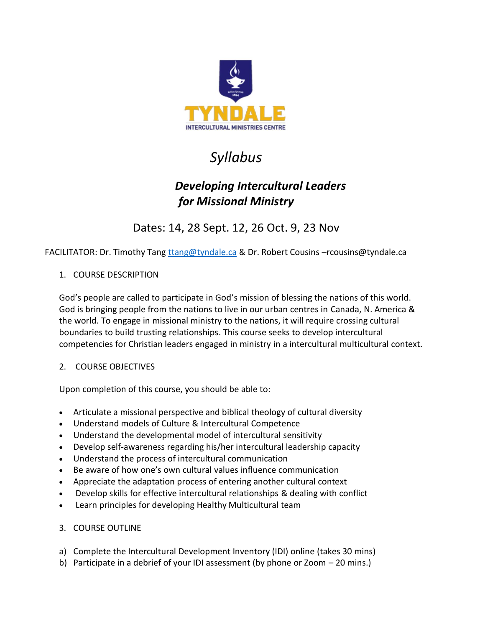

# *Syllabus*

## *Developing Intercultural Leaders for Missional Ministry*

Dates: 14, 28 Sept. 12, 26 Oct. 9, 23 Nov

FACILITATOR: Dr. Timothy Tang trang@tyndale.ca & Dr. Robert Cousins -rcousins@tyndale.ca

### 1. COURSE DESCRIPTION

God's people are called to participate in God's mission of blessing the nations of this world. God is bringing people from the nations to live in our urban centres in Canada, N. America & the world. To engage in missional ministry to the nations, it will require crossing cultural boundaries to build trusting relationships. This course seeks to develop intercultural competencies for Christian leaders engaged in ministry in a intercultural multicultural context.

#### 2. COURSE OBJECTIVES

Upon completion of this course, you should be able to:

- Articulate a missional perspective and biblical theology of cultural diversity
- Understand models of Culture & Intercultural Competence
- Understand the developmental model of intercultural sensitivity
- Develop self-awareness regarding his/her intercultural leadership capacity
- Understand the process of intercultural communication
- Be aware of how one's own cultural values influence communication
- Appreciate the adaptation process of entering another cultural context
- Develop skills for effective intercultural relationships & dealing with conflict
- Learn principles for developing Healthy Multicultural team

#### 3. COURSE OUTLINE

- a) Complete the Intercultural Development Inventory (IDI) online (takes 30 mins)
- b) Participate in a debrief of your IDI assessment (by phone or Zoom 20 mins.)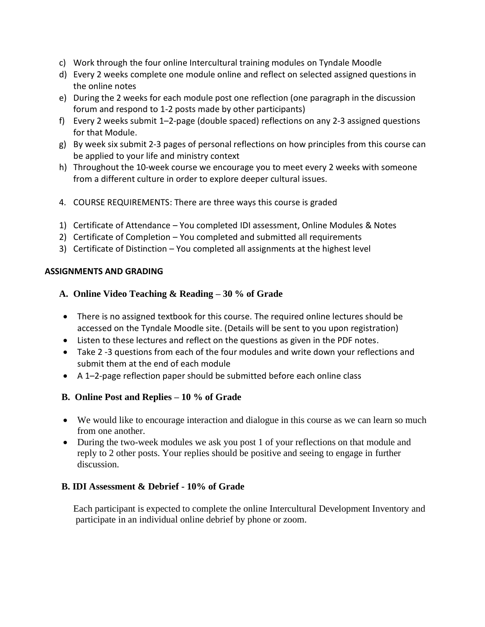- c) Work through the four online Intercultural training modules on Tyndale Moodle
- d) Every 2 weeks complete one module online and reflect on selected assigned questions in the online notes
- e) During the 2 weeks for each module post one reflection (one paragraph in the discussion forum and respond to 1-2 posts made by other participants)
- f) Every 2 weeks submit 1–2-page (double spaced) reflections on any 2-3 assigned questions for that Module.
- g) By week six submit 2-3 pages of personal reflections on how principles from this course can be applied to your life and ministry context
- h) Throughout the 10-week course we encourage you to meet every 2 weeks with someone from a different culture in order to explore deeper cultural issues.
- 4. COURSE REQUIREMENTS: There are three ways this course is graded
- 1) Certificate of Attendance You completed IDI assessment, Online Modules & Notes
- 2) Certificate of Completion You completed and submitted all requirements
- 3) Certificate of Distinction You completed all assignments at the highest level

#### **ASSIGNMENTS AND GRADING**

#### **A. Online Video Teaching & Reading – 30 % of Grade**

- There is no assigned textbook for this course. The required online lectures should be accessed on the Tyndale Moodle site. (Details will be sent to you upon registration)
- Listen to these lectures and reflect on the questions as given in the PDF notes.
- Take 2 -3 questions from each of the four modules and write down your reflections and submit them at the end of each module
- A 1–2-page reflection paper should be submitted before each online class

#### **B. Online Post and Replies – 10 % of Grade**

- We would like to encourage interaction and dialogue in this course as we can learn so much from one another.
- During the two-week modules we ask you post 1 of your reflections on that module and reply to 2 other posts. Your replies should be positive and seeing to engage in further discussion.

#### **B. IDI Assessment & Debrief - 10% of Grade**

Each participant is expected to complete the online Intercultural Development Inventory and participate in an individual online debrief by phone or zoom.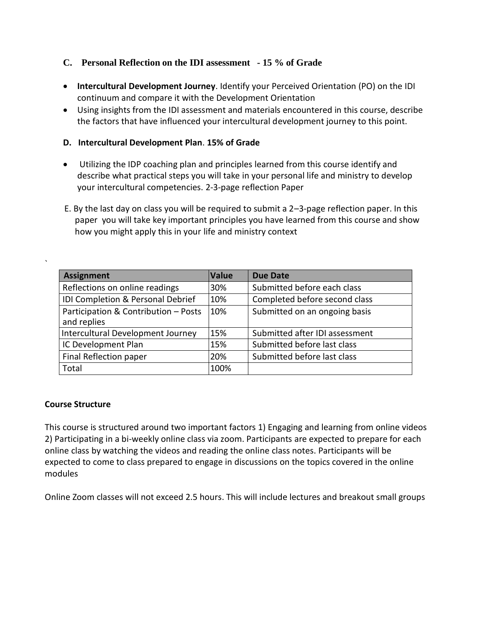#### **C. Personal Reflection on the IDI assessment - 15 % of Grade**

- **Intercultural Development Journey**. Identify your Perceived Orientation (PO) on the IDI continuum and compare it with the Development Orientation
- Using insights from the IDI assessment and materials encountered in this course, describe the factors that have influenced your intercultural development journey to this point.

#### **D. Intercultural Development Plan**. **15% of Grade**

- Utilizing the IDP coaching plan and principles learned from this course identify and describe what practical steps you will take in your personal life and ministry to develop your intercultural competencies. 2-3-page reflection Paper
- E. By the last day on class you will be required to submit a 2–3-page reflection paper. In this paper you will take key important principles you have learned from this course and show how you might apply this in your life and ministry context

| <b>Assignment</b>                                   | <b>Value</b> | <b>Due Date</b>                |
|-----------------------------------------------------|--------------|--------------------------------|
| Reflections on online readings                      | 30%          | Submitted before each class    |
| IDI Completion & Personal Debrief                   | 10%          | Completed before second class  |
| Participation & Contribution - Posts<br>and replies | 10%          | Submitted on an ongoing basis  |
| Intercultural Development Journey                   | 15%          | Submitted after IDI assessment |
| IC Development Plan                                 | 15%          | Submitted before last class    |
| Final Reflection paper                              | 20%          | Submitted before last class    |
| Total                                               | 100%         |                                |

#### **Course Structure**

`

This course is structured around two important factors 1) Engaging and learning from online videos 2) Participating in a bi-weekly online class via zoom. Participants are expected to prepare for each online class by watching the videos and reading the online class notes. Participants will be expected to come to class prepared to engage in discussions on the topics covered in the online modules

Online Zoom classes will not exceed 2.5 hours. This will include lectures and breakout small groups